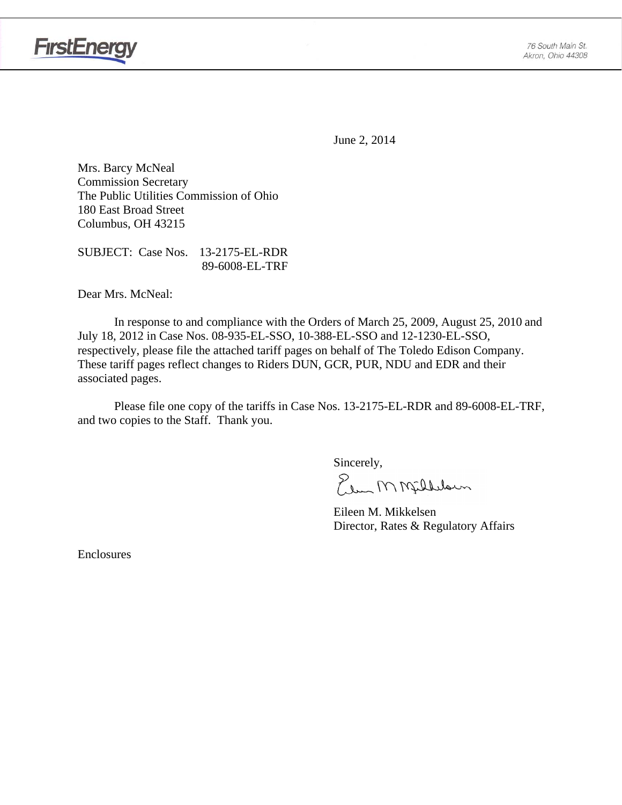

June 2, 2014

Mrs. Barcy McNeal Commission Secretary The Public Utilities Commission of Ohio 180 East Broad Street Columbus, OH 43215

SUBJECT: Case Nos. 13-2175-EL-RDR 89-6008-EL-TRF

Dear Mrs. McNeal:

 In response to and compliance with the Orders of March 25, 2009, August 25, 2010 and July 18, 2012 in Case Nos. 08-935-EL-SSO, 10-388-EL-SSO and 12-1230-EL-SSO, respectively, please file the attached tariff pages on behalf of The Toledo Edison Company. These tariff pages reflect changes to Riders DUN, GCR, PUR, NDU and EDR and their associated pages.

Please file one copy of the tariffs in Case Nos. 13-2175-EL-RDR and 89-6008-EL-TRF, and two copies to the Staff. Thank you.

Sincerely,

Elem M Milleloun

 Eileen M. Mikkelsen Director, Rates & Regulatory Affairs

Enclosures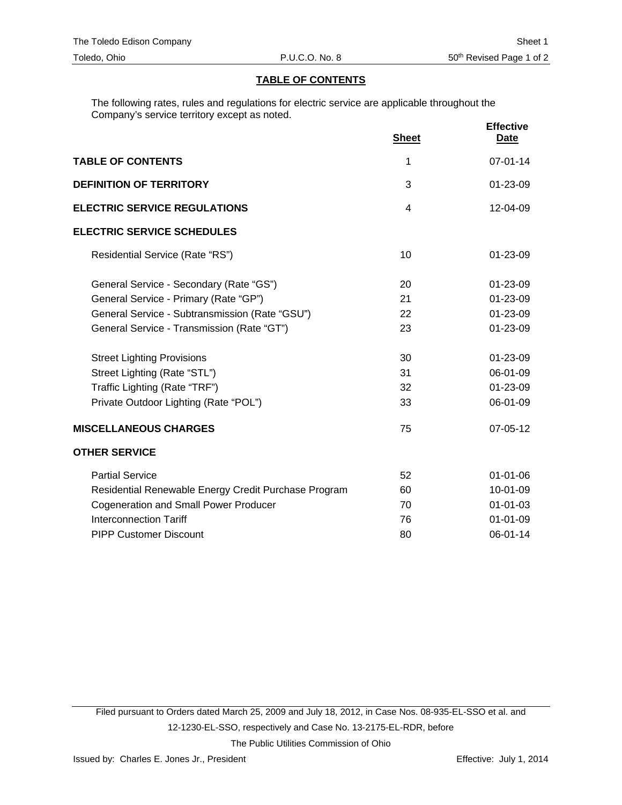### **TABLE OF CONTENTS**

The following rates, rules and regulations for electric service are applicable throughout the Company's service territory except as noted.

|                                                      | <b>Sheet</b> | <b>Effective</b><br><u>Date</u> |
|------------------------------------------------------|--------------|---------------------------------|
| <b>TABLE OF CONTENTS</b>                             | 1            | $07 - 01 - 14$                  |
| <b>DEFINITION OF TERRITORY</b>                       | 3            | 01-23-09                        |
| <b>ELECTRIC SERVICE REGULATIONS</b>                  | 4            | 12-04-09                        |
| <b>ELECTRIC SERVICE SCHEDULES</b>                    |              |                                 |
| Residential Service (Rate "RS")                      | 10           | 01-23-09                        |
| General Service - Secondary (Rate "GS")              | 20           | $01 - 23 - 09$                  |
| General Service - Primary (Rate "GP")                | 21           | 01-23-09                        |
| General Service - Subtransmission (Rate "GSU")       | 22           | 01-23-09                        |
| General Service - Transmission (Rate "GT")           | 23           | 01-23-09                        |
| <b>Street Lighting Provisions</b>                    | 30           | 01-23-09                        |
| Street Lighting (Rate "STL")                         | 31           | 06-01-09                        |
| Traffic Lighting (Rate "TRF")                        | 32           | 01-23-09                        |
| Private Outdoor Lighting (Rate "POL")                | 33           | 06-01-09                        |
| <b>MISCELLANEOUS CHARGES</b>                         | 75           | 07-05-12                        |
| <b>OTHER SERVICE</b>                                 |              |                                 |
| <b>Partial Service</b>                               | 52           | 01-01-06                        |
| Residential Renewable Energy Credit Purchase Program | 60           | 10-01-09                        |
| <b>Cogeneration and Small Power Producer</b>         | 70           | $01 - 01 - 03$                  |
| <b>Interconnection Tariff</b>                        | 76           | $01 - 01 - 09$                  |
| <b>PIPP Customer Discount</b>                        | 80           | 06-01-14                        |

Filed pursuant to Orders dated March 25, 2009 and July 18, 2012, in Case Nos. 08-935-EL-SSO et al. and 12-1230-EL-SSO, respectively and Case No. 13-2175-EL-RDR, before The Public Utilities Commission of Ohio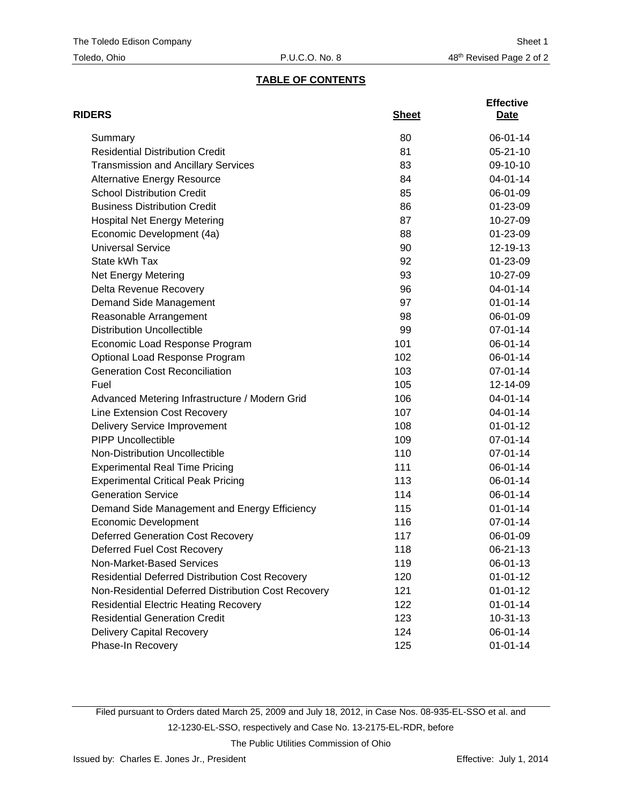# **TABLE OF CONTENTS**

| <b>RIDERS</b>                                          | <b>Sheet</b> | <b>Effective</b><br>Date |
|--------------------------------------------------------|--------------|--------------------------|
| Summary                                                | 80           | 06-01-14                 |
| <b>Residential Distribution Credit</b>                 | 81           | $05 - 21 - 10$           |
| <b>Transmission and Ancillary Services</b>             | 83           | 09-10-10                 |
| <b>Alternative Energy Resource</b>                     | 84           | 04-01-14                 |
| <b>School Distribution Credit</b>                      | 85           | 06-01-09                 |
| <b>Business Distribution Credit</b>                    | 86           | 01-23-09                 |
| <b>Hospital Net Energy Metering</b>                    | 87           | 10-27-09                 |
| Economic Development (4a)                              | 88           | 01-23-09                 |
| <b>Universal Service</b>                               | 90           | 12-19-13                 |
| State kWh Tax                                          | 92           | 01-23-09                 |
| Net Energy Metering                                    | 93           | 10-27-09                 |
| Delta Revenue Recovery                                 | 96           | 04-01-14                 |
| Demand Side Management                                 | 97           | $01 - 01 - 14$           |
| Reasonable Arrangement                                 | 98           | 06-01-09                 |
| <b>Distribution Uncollectible</b>                      | 99           | 07-01-14                 |
| Economic Load Response Program                         | 101          | 06-01-14                 |
| Optional Load Response Program                         | 102          | 06-01-14                 |
| <b>Generation Cost Reconciliation</b>                  | 103          | 07-01-14                 |
| Fuel                                                   | 105          | 12-14-09                 |
| Advanced Metering Infrastructure / Modern Grid         | 106          | 04-01-14                 |
| Line Extension Cost Recovery                           | 107          | 04-01-14                 |
| <b>Delivery Service Improvement</b>                    | 108          | $01 - 01 - 12$           |
| <b>PIPP Uncollectible</b>                              | 109          | 07-01-14                 |
| Non-Distribution Uncollectible                         | 110          | 07-01-14                 |
| <b>Experimental Real Time Pricing</b>                  | 111          | 06-01-14                 |
| <b>Experimental Critical Peak Pricing</b>              | 113          | 06-01-14                 |
| <b>Generation Service</b>                              | 114          | 06-01-14                 |
| Demand Side Management and Energy Efficiency           | 115          | $01 - 01 - 14$           |
| <b>Economic Development</b>                            | 116          | 07-01-14                 |
| <b>Deferred Generation Cost Recovery</b>               | 117          | 06-01-09                 |
| Deferred Fuel Cost Recovery                            | 118          | 06-21-13                 |
| Non-Market-Based Services                              | 119          | 06-01-13                 |
| <b>Residential Deferred Distribution Cost Recovery</b> | 120          | $01 - 01 - 12$           |
| Non-Residential Deferred Distribution Cost Recovery    | 121          | $01 - 01 - 12$           |
| <b>Residential Electric Heating Recovery</b>           | 122          | $01 - 01 - 14$           |
| <b>Residential Generation Credit</b>                   | 123          | $10 - 31 - 13$           |
| Delivery Capital Recovery                              | 124          | 06-01-14                 |
| Phase-In Recovery                                      | 125          | $01 - 01 - 14$           |

Filed pursuant to Orders dated March 25, 2009 and July 18, 2012, in Case Nos. 08-935-EL-SSO et al. and 12-1230-EL-SSO, respectively and Case No. 13-2175-EL-RDR, before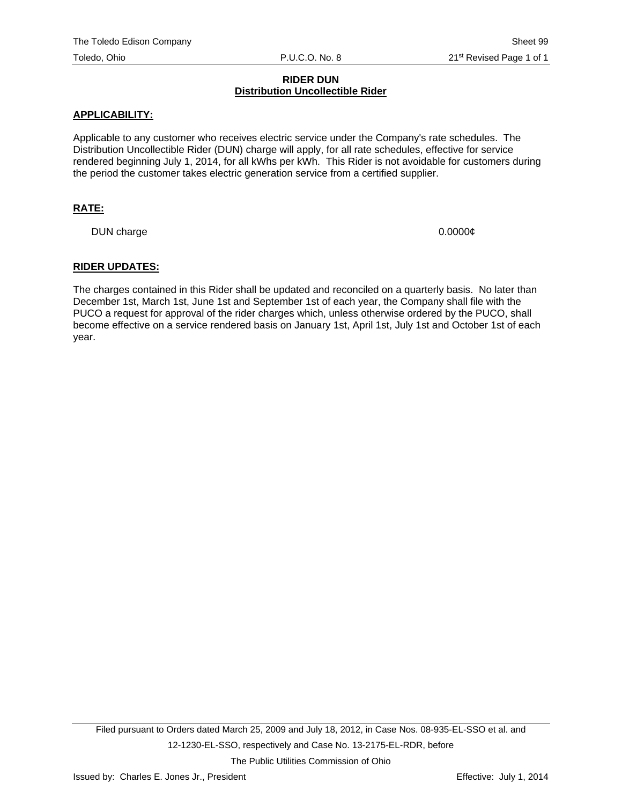#### **RIDER DUN Distribution Uncollectible Rider**

#### **APPLICABILITY:**

Applicable to any customer who receives electric service under the Company's rate schedules. The Distribution Uncollectible Rider (DUN) charge will apply, for all rate schedules, effective for service rendered beginning July 1, 2014, for all kWhs per kWh. This Rider is not avoidable for customers during the period the customer takes electric generation service from a certified supplier.

## **RATE:**

DUN charge 0.0000 $\phi$ 

#### **RIDER UPDATES:**

The charges contained in this Rider shall be updated and reconciled on a quarterly basis. No later than December 1st, March 1st, June 1st and September 1st of each year, the Company shall file with the PUCO a request for approval of the rider charges which, unless otherwise ordered by the PUCO, shall become effective on a service rendered basis on January 1st, April 1st, July 1st and October 1st of each year.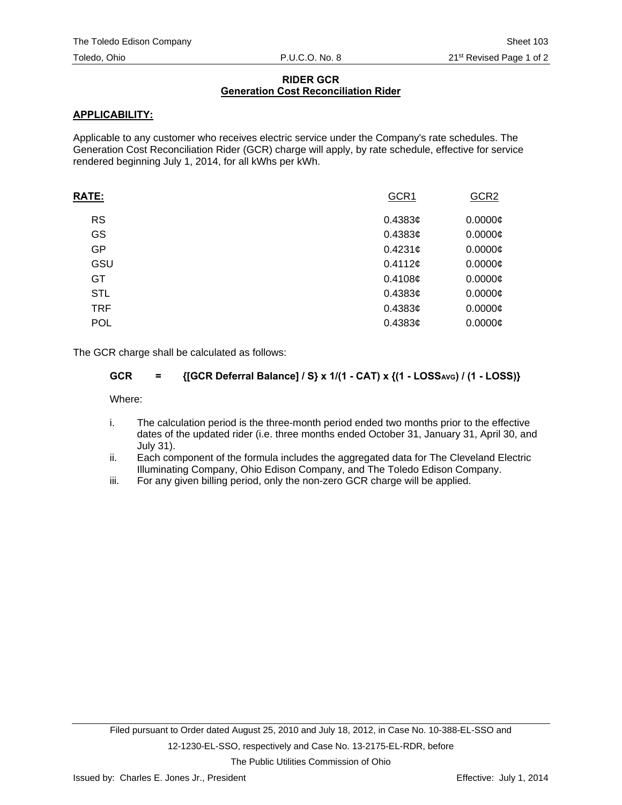### **RIDER GCR Generation Cost Reconciliation Rider**

# **APPLICABILITY:**

Applicable to any customer who receives electric service under the Company's rate schedules. The Generation Cost Reconciliation Rider (GCR) charge will apply, by rate schedule, effective for service rendered beginning July 1, 2014, for all kWhs per kWh.

| RATE:      | GCR1       | GCR <sub>2</sub> |
|------------|------------|------------------|
| <b>RS</b>  | $0.4383$ ¢ | $0.0000$ ¢       |
| GS         | $0.4383$ ¢ | $0.0000$ ¢       |
| GP         | $0.4231$ ¢ | $0.0000$ ¢       |
| GSU        | 0.4112c    | $0.0000$ ¢       |
| GT         | 0.4108c    | $0.0000$ ¢       |
| <b>STL</b> | $0.4383$ ¢ | $0.0000$ ¢       |
| <b>TRF</b> | $0.4383$ ¢ | $0.0000$ ¢       |
| <b>POL</b> | $0.4383$ ¢ | $0.0000$ ¢       |
|            |            |                  |

The GCR charge shall be calculated as follows:

# GCR = {[GCR Deferral Balance] / S} x 1/(1 - CAT) x {(1 - LOSS<sub>AVG</sub>) / (1 - LOSS)}

Where:

- i. The calculation period is the three-month period ended two months prior to the effective dates of the updated rider (i.e. three months ended October 31, January 31, April 30, and July 31).
- ii. Each component of the formula includes the aggregated data for The Cleveland Electric Illuminating Company, Ohio Edison Company, and The Toledo Edison Company.
- iii. For any given billing period, only the non-zero GCR charge will be applied.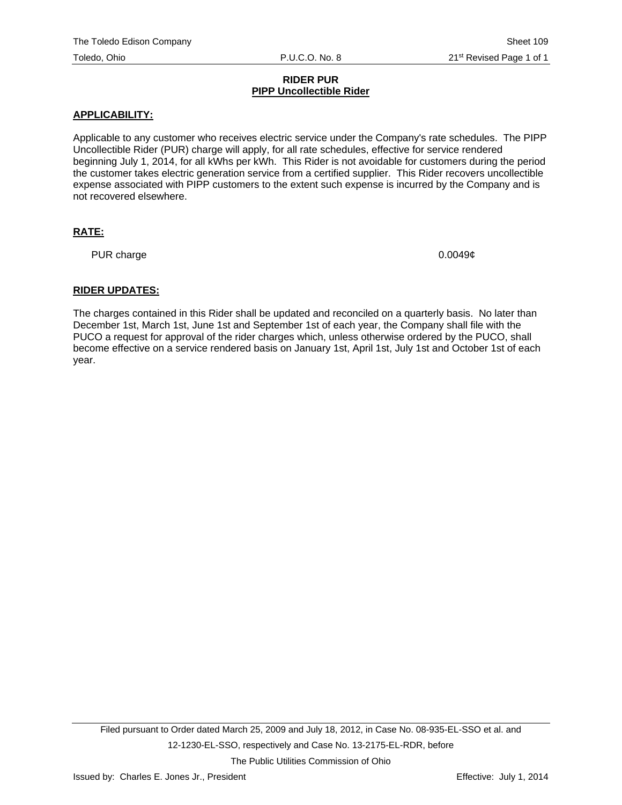#### **RIDER PUR PIPP Uncollectible Rider**

## **APPLICABILITY:**

Applicable to any customer who receives electric service under the Company's rate schedules. The PIPP Uncollectible Rider (PUR) charge will apply, for all rate schedules, effective for service rendered beginning July 1, 2014, for all kWhs per kWh. This Rider is not avoidable for customers during the period the customer takes electric generation service from a certified supplier. This Rider recovers uncollectible expense associated with PIPP customers to the extent such expense is incurred by the Company and is not recovered elsewhere.

# **RATE:**

PUR charge 0.0049¢

## **RIDER UPDATES:**

The charges contained in this Rider shall be updated and reconciled on a quarterly basis. No later than December 1st, March 1st, June 1st and September 1st of each year, the Company shall file with the PUCO a request for approval of the rider charges which, unless otherwise ordered by the PUCO, shall become effective on a service rendered basis on January 1st, April 1st, July 1st and October 1st of each year.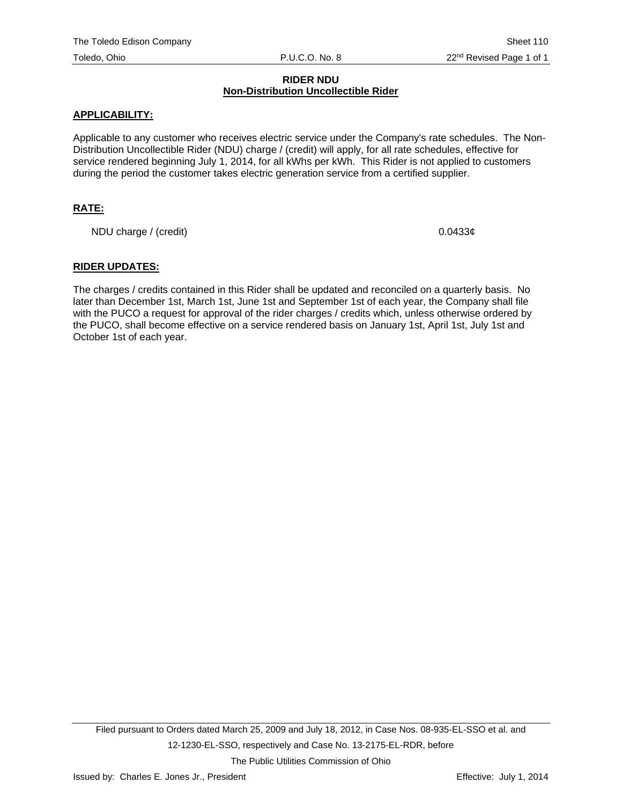#### **RIDER NDU Non-Distribution Uncollectible Rider**

#### **APPLICABILITY:**

Applicable to any customer who receives electric service under the Company's rate schedules. The Non-Distribution Uncollectible Rider (NDU) charge / (credit) will apply, for all rate schedules, effective for service rendered beginning July 1, 2014, for all kWhs per kWh. This Rider is not applied to customers during the period the customer takes electric generation service from a certified supplier.

## **RATE:**

NDU charge / (credit)  $0.0433¢$ 

#### **RIDER UPDATES:**

The charges / credits contained in this Rider shall be updated and reconciled on a quarterly basis. No later than December 1st, March 1st, June 1st and September 1st of each year, the Company shall file with the PUCO a request for approval of the rider charges / credits which, unless otherwise ordered by the PUCO, shall become effective on a service rendered basis on January 1st, April 1st, July 1st and October 1st of each year.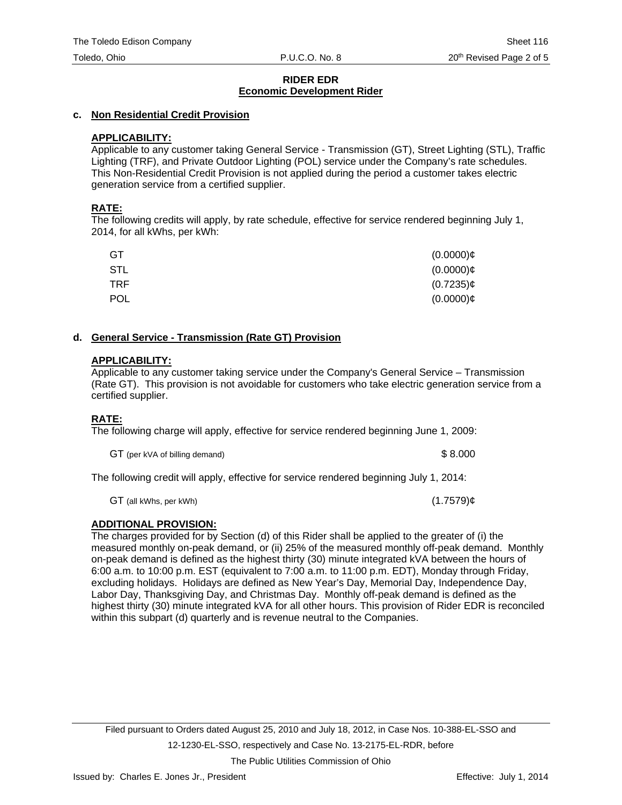## **c. Non Residential Credit Provision**

# **APPLICABILITY:**

Applicable to any customer taking General Service - Transmission (GT), Street Lighting (STL), Traffic Lighting (TRF), and Private Outdoor Lighting (POL) service under the Company's rate schedules. This Non-Residential Credit Provision is not applied during the period a customer takes electric generation service from a certified supplier.

# **RATE:**

The following credits will apply, by rate schedule, effective for service rendered beginning July 1, 2014, for all kWhs, per kWh:

| GT         | $(0.0000)$ ¢ |
|------------|--------------|
| STL        | $(0.0000)$ ¢ |
| TRF.       | $(0.7235)$ ¢ |
| <b>POL</b> | $(0.0000)$ ¢ |

## **d. General Service - Transmission (Rate GT) Provision**

# **APPLICABILITY:**

Applicable to any customer taking service under the Company's General Service – Transmission (Rate GT). This provision is not avoidable for customers who take electric generation service from a certified supplier.

# **RATE:**

The following charge will apply, effective for service rendered beginning June 1, 2009:

GT (per kVA of billing demand)  $$8.000$ 

The following credit will apply, effective for service rendered beginning July 1, 2014:

 $GT$  (all kWhs, per kWh) (1.7579) $\phi$ 

# **ADDITIONAL PROVISION:**

The charges provided for by Section (d) of this Rider shall be applied to the greater of (i) the measured monthly on-peak demand, or (ii) 25% of the measured monthly off-peak demand. Monthly on-peak demand is defined as the highest thirty (30) minute integrated kVA between the hours of 6:00 a.m. to 10:00 p.m. EST (equivalent to 7:00 a.m. to 11:00 p.m. EDT), Monday through Friday, excluding holidays. Holidays are defined as New Year's Day, Memorial Day, Independence Day, Labor Day, Thanksgiving Day, and Christmas Day. Monthly off-peak demand is defined as the highest thirty (30) minute integrated kVA for all other hours. This provision of Rider EDR is reconciled within this subpart (d) quarterly and is revenue neutral to the Companies.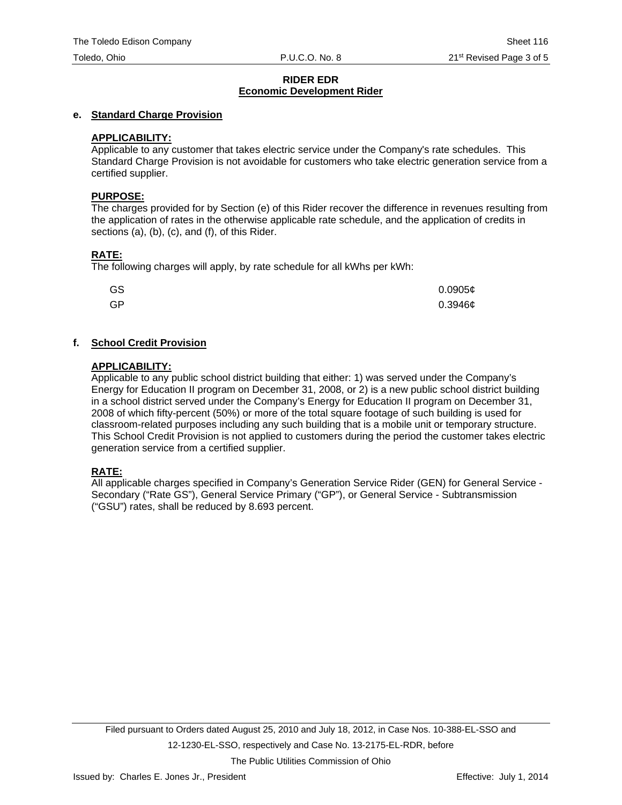### **e. Standard Charge Provision**

## **APPLICABILITY:**

Applicable to any customer that takes electric service under the Company's rate schedules. This Standard Charge Provision is not avoidable for customers who take electric generation service from a certified supplier.

#### **PURPOSE:**

The charges provided for by Section (e) of this Rider recover the difference in revenues resulting from the application of rates in the otherwise applicable rate schedule, and the application of credits in sections (a), (b), (c), and (f), of this Rider.

## **RATE:**

The following charges will apply, by rate schedule for all kWhs per kWh:

| GS | 0.0905c |
|----|---------|
| GP | 0.3946c |

# **f. School Credit Provision**

#### **APPLICABILITY:**

Applicable to any public school district building that either: 1) was served under the Company's Energy for Education II program on December 31, 2008, or 2) is a new public school district building in a school district served under the Company's Energy for Education II program on December 31, 2008 of which fifty-percent (50%) or more of the total square footage of such building is used for classroom-related purposes including any such building that is a mobile unit or temporary structure. This School Credit Provision is not applied to customers during the period the customer takes electric generation service from a certified supplier.

## **RATE:**

All applicable charges specified in Company's Generation Service Rider (GEN) for General Service - Secondary ("Rate GS"), General Service Primary ("GP"), or General Service - Subtransmission ("GSU") rates, shall be reduced by 8.693 percent.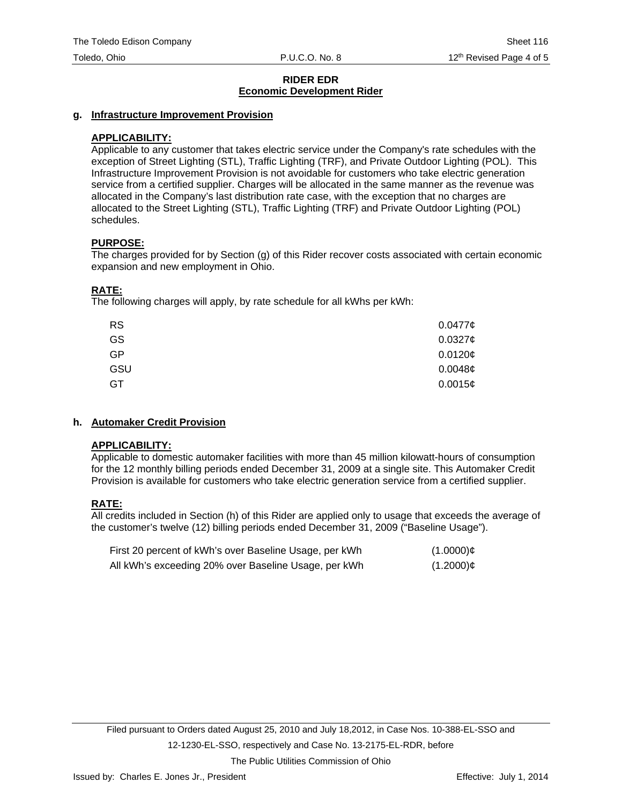#### **g. Infrastructure Improvement Provision**

### **APPLICABILITY:**

Applicable to any customer that takes electric service under the Company's rate schedules with the exception of Street Lighting (STL), Traffic Lighting (TRF), and Private Outdoor Lighting (POL). This Infrastructure Improvement Provision is not avoidable for customers who take electric generation service from a certified supplier. Charges will be allocated in the same manner as the revenue was allocated in the Company's last distribution rate case, with the exception that no charges are allocated to the Street Lighting (STL), Traffic Lighting (TRF) and Private Outdoor Lighting (POL) schedules.

#### **PURPOSE:**

The charges provided for by Section (g) of this Rider recover costs associated with certain economic expansion and new employment in Ohio.

#### **RATE:**

The following charges will apply, by rate schedule for all kWhs per kWh:

| <b>RS</b> | 0.04776             |
|-----------|---------------------|
| GS        | 0.0327c             |
| <b>GP</b> | 0.0120¢             |
| GSU       | 0.0048 <sub>¢</sub> |
| GT        | 0.0015c             |

## **h. Automaker Credit Provision**

#### **APPLICABILITY:**

Applicable to domestic automaker facilities with more than 45 million kilowatt-hours of consumption for the 12 monthly billing periods ended December 31, 2009 at a single site. This Automaker Credit Provision is available for customers who take electric generation service from a certified supplier.

## **RATE:**

All credits included in Section (h) of this Rider are applied only to usage that exceeds the average of the customer's twelve (12) billing periods ended December 31, 2009 ("Baseline Usage").

| First 20 percent of kWh's over Baseline Usage, per kWh | $(1.0000)$ ¢ |
|--------------------------------------------------------|--------------|
| All kWh's exceeding 20% over Baseline Usage, per kWh   | $(1.2000)$ ¢ |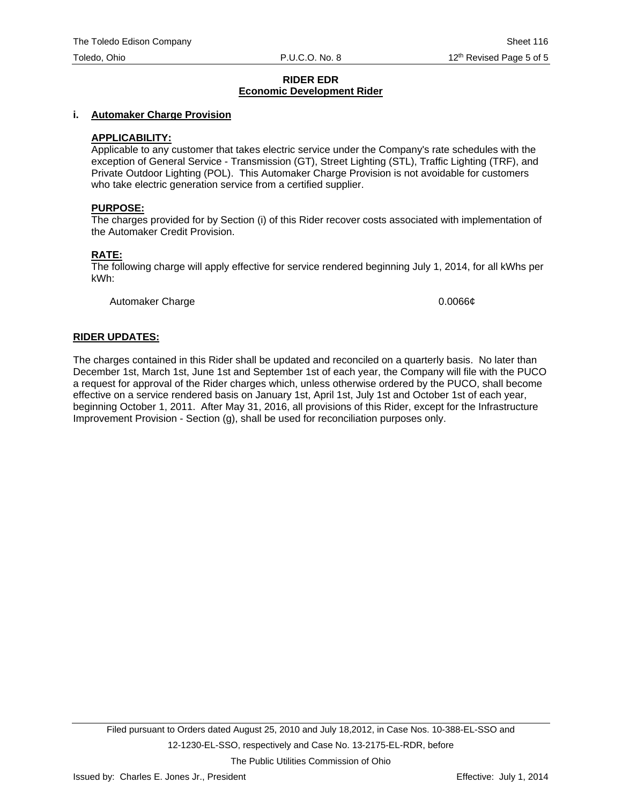#### **i. Automaker Charge Provision**

#### **APPLICABILITY:**

Applicable to any customer that takes electric service under the Company's rate schedules with the exception of General Service - Transmission (GT), Street Lighting (STL), Traffic Lighting (TRF), and Private Outdoor Lighting (POL). This Automaker Charge Provision is not avoidable for customers who take electric generation service from a certified supplier.

#### **PURPOSE:**

The charges provided for by Section (i) of this Rider recover costs associated with implementation of the Automaker Credit Provision.

#### **RATE:**

The following charge will apply effective for service rendered beginning July 1, 2014, for all kWhs per kWh:

Automaker Charge 0.0066¢

#### **RIDER UPDATES:**

The charges contained in this Rider shall be updated and reconciled on a quarterly basis. No later than December 1st, March 1st, June 1st and September 1st of each year, the Company will file with the PUCO a request for approval of the Rider charges which, unless otherwise ordered by the PUCO, shall become effective on a service rendered basis on January 1st, April 1st, July 1st and October 1st of each year, beginning October 1, 2011. After May 31, 2016, all provisions of this Rider, except for the Infrastructure Improvement Provision - Section (g), shall be used for reconciliation purposes only.